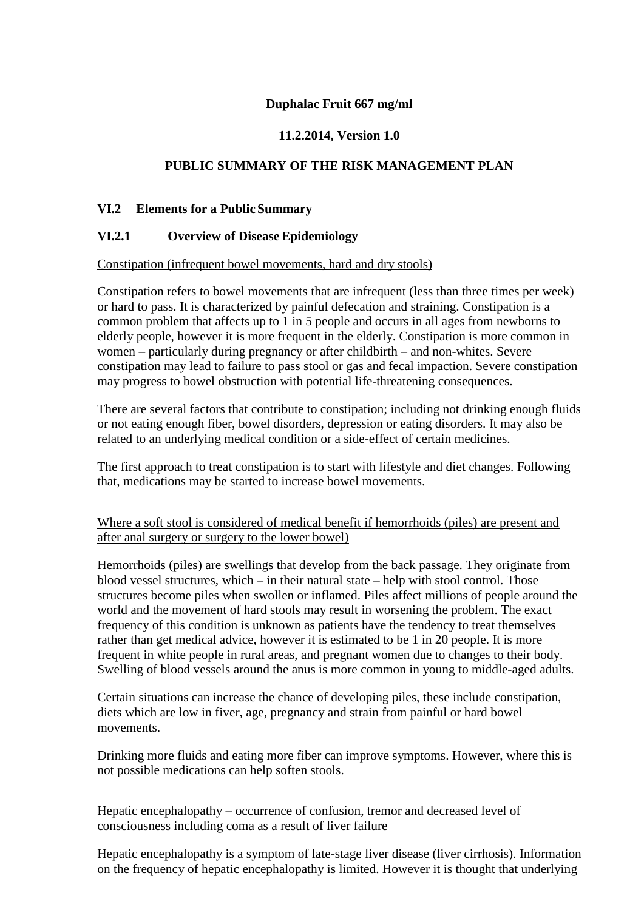## **Duphalac Fruit 667 mg/ml**

# **11.2.2014, Version 1.0**

## **PUBLIC SUMMARY OF THE RISK MANAGEMENT PLAN**

### **VI.2 Elements for a Public Summary**

### **VI.2.1 Overview of DiseaseEpidemiology**

#### Constipation (infrequent bowel movements, hard and dry stools)

Constipation refers to bowel movements that are infrequent (less than three times per week) or hard to pass. It is characterized by painful defecation and straining. Constipation is a common problem that affects up to 1 in 5 people and occurs in all ages from newborns to elderly people, however it is more frequent in the elderly. Constipation is more common in women – particularly during pregnancy or after childbirth – and non-whites. Severe constipation may lead to failure to pass stool or gas and fecal impaction. Severe constipation may progress to bowel obstruction with potential life-threatening consequences.

There are several factors that contribute to constipation; including not drinking enough fluids or not eating enough fiber, bowel disorders, depression or eating disorders. It may also be related to an underlying medical condition or a side-effect of certain medicines.

The first approach to treat constipation is to start with lifestyle and diet changes. Following that, medications may be started to increase bowel movements.

### Where a soft stool is considered of medical benefit if hemorrhoids (piles) are present and after anal surgery or surgery to the lower bowel)

Hemorrhoids (piles) are swellings that develop from the back passage. They originate from blood vessel structures, which – in their natural state – help with stool control. Those structures become piles when swollen or inflamed. Piles affect millions of people around the world and the movement of hard stools may result in worsening the problem. The exact frequency of this condition is unknown as patients have the tendency to treat themselves rather than get medical advice, however it is estimated to be 1 in 20 people. It is more frequent in white people in rural areas, and pregnant women due to changes to their body. Swelling of blood vessels around the anus is more common in young to middle-aged adults.

Certain situations can increase the chance of developing piles, these include constipation, diets which are low in fiver, age, pregnancy and strain from painful or hard bowel movements.

Drinking more fluids and eating more fiber can improve symptoms. However, where this is not possible medications can help soften stools.

Hepatic encephalopathy – occurrence of confusion, tremor and decreased level of consciousness including coma as a result of liver failure

Hepatic encephalopathy is a symptom of late-stage liver disease (liver cirrhosis). Information on the frequency of hepatic encephalopathy is limited. However it is thought that underlying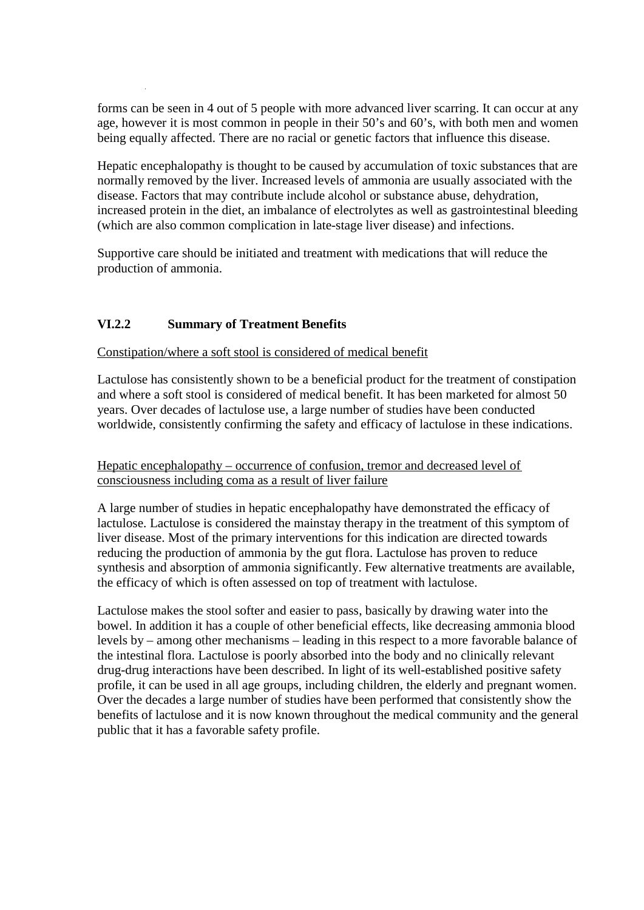forms can be seen in 4 out of 5 people with more advanced liver scarring. It can occur at any age, however it is most common in people in their 50's and 60's, with both men and women being equally affected. There are no racial or genetic factors that influence this disease.

Hepatic encephalopathy is thought to be caused by accumulation of toxic substances that are normally removed by the liver. Increased levels of ammonia are usually associated with the disease. Factors that may contribute include alcohol or substance abuse, dehydration, increased protein in the diet, an imbalance of electrolytes as well as gastrointestinal bleeding (which are also common complication in late-stage liver disease) and infections.

Supportive care should be initiated and treatment with medications that will reduce the production of ammonia.

## **VI.2.2 Summary of Treatment Benefits**

#### Constipation/where a soft stool is considered of medical benefit

Lactulose has consistently shown to be a beneficial product for the treatment of constipation and where a soft stool is considered of medical benefit. It has been marketed for almost 50 years. Over decades of lactulose use, a large number of studies have been conducted worldwide, consistently confirming the safety and efficacy of lactulose in these indications.

### Hepatic encephalopathy – occurrence of confusion, tremor and decreased level of consciousness including coma as a result of liver failure

A large number of studies in hepatic encephalopathy have demonstrated the efficacy of lactulose. Lactulose is considered the mainstay therapy in the treatment of this symptom of liver disease. Most of the primary interventions for this indication are directed towards reducing the production of ammonia by the gut flora. Lactulose has proven to reduce synthesis and absorption of ammonia significantly. Few alternative treatments are available, the efficacy of which is often assessed on top of treatment with lactulose.

Lactulose makes the stool softer and easier to pass, basically by drawing water into the bowel. In addition it has a couple of other beneficial effects, like decreasing ammonia blood levels by – among other mechanisms – leading in this respect to a more favorable balance of the intestinal flora. Lactulose is poorly absorbed into the body and no clinically relevant drug-drug interactions have been described. In light of its well-established positive safety profile, it can be used in all age groups, including children, the elderly and pregnant women. Over the decades a large number of studies have been performed that consistently show the benefits of lactulose and it is now known throughout the medical community and the general public that it has a favorable safety profile.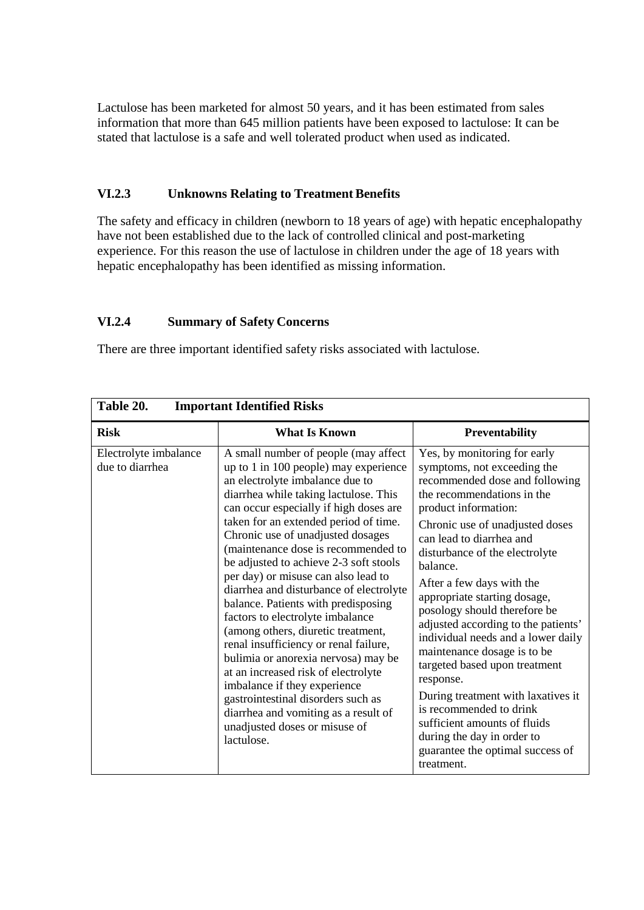Lactulose has been marketed for almost 50 years, and it has been estimated from sales information that more than 645 million patients have been exposed to lactulose: It can be stated that lactulose is a safe and well tolerated product when used as indicated.

# **VI.2.3 Unknowns Relating to Treatment Benefits**

The safety and efficacy in children (newborn to 18 years of age) with hepatic encephalopathy have not been established due to the lack of controlled clinical and post-marketing experience. For this reason the use of lactulose in children under the age of 18 years with hepatic encephalopathy has been identified as missing information.

# **VI.2.4 Summary of Safety Concerns**

There are three important identified safety risks associated with lactulose.

| Table 20.<br><b>Important Identified Risks</b> |                                                                                                                                                                                                                                                                                                                                                                                                                                                                                                                                                                                                                                                                                                                                                                                                                                                           |                                                                                                                                                                                                                                                                                                                                                                                                                                                                                                                                                                                                                                                                                                          |  |
|------------------------------------------------|-----------------------------------------------------------------------------------------------------------------------------------------------------------------------------------------------------------------------------------------------------------------------------------------------------------------------------------------------------------------------------------------------------------------------------------------------------------------------------------------------------------------------------------------------------------------------------------------------------------------------------------------------------------------------------------------------------------------------------------------------------------------------------------------------------------------------------------------------------------|----------------------------------------------------------------------------------------------------------------------------------------------------------------------------------------------------------------------------------------------------------------------------------------------------------------------------------------------------------------------------------------------------------------------------------------------------------------------------------------------------------------------------------------------------------------------------------------------------------------------------------------------------------------------------------------------------------|--|
| <b>Risk</b>                                    | <b>What Is Known</b>                                                                                                                                                                                                                                                                                                                                                                                                                                                                                                                                                                                                                                                                                                                                                                                                                                      | <b>Preventability</b>                                                                                                                                                                                                                                                                                                                                                                                                                                                                                                                                                                                                                                                                                    |  |
| Electrolyte imbalance<br>due to diarrhea       | A small number of people (may affect<br>up to 1 in 100 people) may experience<br>an electrolyte imbalance due to<br>diarrhea while taking lactulose. This<br>can occur especially if high doses are<br>taken for an extended period of time.<br>Chronic use of unadjusted dosages<br>(maintenance dose is recommended to<br>be adjusted to achieve 2-3 soft stools<br>per day) or misuse can also lead to<br>diarrhea and disturbance of electrolyte<br>balance. Patients with predisposing<br>factors to electrolyte imbalance<br>(among others, diuretic treatment,<br>renal insufficiency or renal failure,<br>bulimia or anorexia nervosa) may be<br>at an increased risk of electrolyte<br>imbalance if they experience<br>gastrointestinal disorders such as<br>diarrhea and vomiting as a result of<br>unadjusted doses or misuse of<br>lactulose. | Yes, by monitoring for early<br>symptoms, not exceeding the<br>recommended dose and following<br>the recommendations in the<br>product information:<br>Chronic use of unadjusted doses<br>can lead to diarrhea and<br>disturbance of the electrolyte<br>balance.<br>After a few days with the<br>appropriate starting dosage,<br>posology should therefore be<br>adjusted according to the patients'<br>individual needs and a lower daily<br>maintenance dosage is to be<br>targeted based upon treatment<br>response.<br>During treatment with laxatives it<br>is recommended to drink<br>sufficient amounts of fluids<br>during the day in order to<br>guarantee the optimal success of<br>treatment. |  |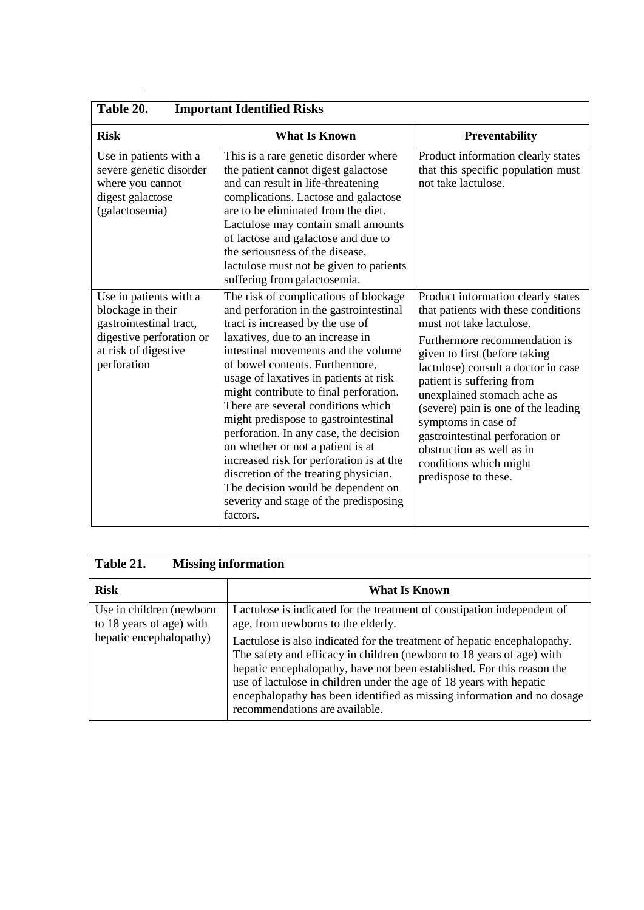| Table 20.<br><b>Important Identified Risks</b>                                                                                            |                                                                                                                                                                                                                                                                                                                                                                                                                                                                                                                                                                                                                                                                      |                                                                                                                                                                                                                                                                                                                                                                                                                                                            |  |  |
|-------------------------------------------------------------------------------------------------------------------------------------------|----------------------------------------------------------------------------------------------------------------------------------------------------------------------------------------------------------------------------------------------------------------------------------------------------------------------------------------------------------------------------------------------------------------------------------------------------------------------------------------------------------------------------------------------------------------------------------------------------------------------------------------------------------------------|------------------------------------------------------------------------------------------------------------------------------------------------------------------------------------------------------------------------------------------------------------------------------------------------------------------------------------------------------------------------------------------------------------------------------------------------------------|--|--|
| <b>Risk</b>                                                                                                                               | <b>What Is Known</b>                                                                                                                                                                                                                                                                                                                                                                                                                                                                                                                                                                                                                                                 | Preventability                                                                                                                                                                                                                                                                                                                                                                                                                                             |  |  |
| Use in patients with a<br>severe genetic disorder<br>where you cannot<br>digest galactose<br>(galactosemia)                               | This is a rare genetic disorder where<br>the patient cannot digest galactose<br>and can result in life-threatening<br>complications. Lactose and galactose<br>are to be eliminated from the diet.<br>Lactulose may contain small amounts<br>of lactose and galactose and due to<br>the seriousness of the disease,<br>lactulose must not be given to patients<br>suffering from galactosemia.                                                                                                                                                                                                                                                                        | Product information clearly states<br>that this specific population must<br>not take lactulose.                                                                                                                                                                                                                                                                                                                                                            |  |  |
| Use in patients with a<br>blockage in their<br>gastrointestinal tract,<br>digestive perforation or<br>at risk of digestive<br>perforation | The risk of complications of blockage<br>and perforation in the gastrointestinal<br>tract is increased by the use of<br>laxatives, due to an increase in<br>intestinal movements and the volume<br>of bowel contents. Furthermore,<br>usage of laxatives in patients at risk<br>might contribute to final perforation.<br>There are several conditions which<br>might predispose to gastrointestinal<br>perforation. In any case, the decision<br>on whether or not a patient is at<br>increased risk for perforation is at the<br>discretion of the treating physician.<br>The decision would be dependent on<br>severity and stage of the predisposing<br>factors. | Product information clearly states<br>that patients with these conditions<br>must not take lactulose.<br>Furthermore recommendation is<br>given to first (before taking<br>lactulose) consult a doctor in case<br>patient is suffering from<br>unexplained stomach ache as<br>(severe) pain is one of the leading<br>symptoms in case of<br>gastrointestinal perforation or<br>obstruction as well as in<br>conditions which might<br>predispose to these. |  |  |

| Table 21.<br><b>Missing information</b>                                          |                                                                                                                                                                                                                                                                                                                                                                                                                 |  |
|----------------------------------------------------------------------------------|-----------------------------------------------------------------------------------------------------------------------------------------------------------------------------------------------------------------------------------------------------------------------------------------------------------------------------------------------------------------------------------------------------------------|--|
| <b>Risk</b>                                                                      | <b>What Is Known</b>                                                                                                                                                                                                                                                                                                                                                                                            |  |
| Use in children (newborn)<br>to 18 years of age) with<br>hepatic encephalopathy) | Lactulose is indicated for the treatment of constipation independent of<br>age, from newborns to the elderly.                                                                                                                                                                                                                                                                                                   |  |
|                                                                                  | Lactulose is also indicated for the treatment of hepatic encephalopathy.<br>The safety and efficacy in children (newborn to 18 years of age) with<br>hepatic encephalopathy, have not been established. For this reason the<br>use of lactulose in children under the age of 18 years with hepatic<br>encephalopathy has been identified as missing information and no dosage<br>recommendations are available. |  |